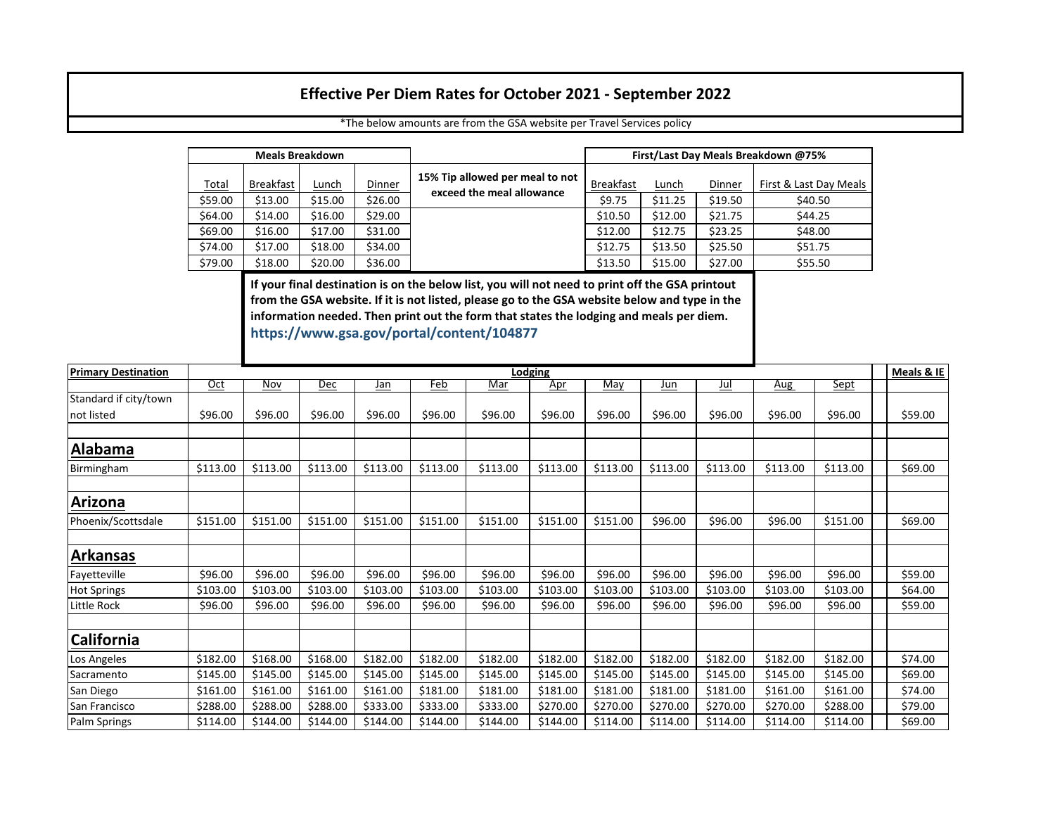## **Effective Per Diem Rates for October 2021 - September 2022**

|         | <b>Meals Breakdown</b> |         |         |                                 | First/Last Day Meals Breakdown @75% |         |         |                        |  |  |  |
|---------|------------------------|---------|---------|---------------------------------|-------------------------------------|---------|---------|------------------------|--|--|--|
| Total   | Breakfast              | Lunch   | Dinner  | 15% Tip allowed per meal to not | <b>Breakfast</b>                    | Lunch   | Dinner  | First & Last Day Meals |  |  |  |
| \$59.00 | \$13.00                | \$15.00 | \$26.00 | exceed the meal allowance       | \$9.75                              | \$11.25 | \$19.50 | \$40.50                |  |  |  |
| \$64.00 | \$14.00                | \$16.00 | \$29.00 |                                 | \$10.50                             | \$12.00 | \$21.75 | \$44.25                |  |  |  |
| \$69.00 | \$16.00                | \$17.00 | \$31.00 |                                 | \$12.00                             | \$12.75 | \$23.25 | \$48.00                |  |  |  |
| \$74.00 | \$17.00                | \$18.00 | \$34.00 |                                 | \$12.75                             | \$13.50 | \$25.50 | \$51.75                |  |  |  |
| \$79.00 | \$18.00                | \$20.00 | \$36.00 |                                 | \$13.50                             | \$15.00 | \$27.00 | \$55.50                |  |  |  |

\*The below amounts are from the GSA website per Travel Services policy

**If your final destination is on the below list, you will not need to print off the GSA printout [from the GSA website. If it is not listed, please go to the GSA website below and type in the](https://www.gsa.gov/portal/content/104877)  information needed. Then print out the form that states the lodging and meals per diem. https://www.gsa.gov/portal/content/104877**

| <b>Primary Destination</b> |          | Lodging    |            |            |            |            |            |            |            |            |          |             | Meals & IE |
|----------------------------|----------|------------|------------|------------|------------|------------|------------|------------|------------|------------|----------|-------------|------------|
|                            | $Oct$    | <b>Nov</b> | <u>Dec</u> | <u>Jan</u> | <u>Feb</u> | <u>Mar</u> | <u>Apr</u> | <u>May</u> | <u>Jun</u> | <u>Jul</u> | Aug      | <u>Sept</u> |            |
| Standard if city/town      |          |            |            |            |            |            |            |            |            |            |          |             |            |
| not listed                 | \$96.00  | \$96.00    | \$96.00    | \$96.00    | \$96.00    | \$96.00    | \$96.00    | \$96.00    | \$96.00    | \$96.00    | \$96.00  | \$96.00     | \$59.00    |
|                            |          |            |            |            |            |            |            |            |            |            |          |             |            |
| <b>Alabama</b>             |          |            |            |            |            |            |            |            |            |            |          |             |            |
| Birmingham                 | \$113.00 | \$113.00   | \$113.00   | \$113.00   | \$113.00   | \$113.00   | \$113.00   | \$113.00   | \$113.00   | \$113.00   | \$113.00 | \$113.00    | \$69.00    |
| Arizona                    |          |            |            |            |            |            |            |            |            |            |          |             |            |
|                            |          |            |            |            |            |            |            |            |            |            |          |             |            |
| Phoenix/Scottsdale         | \$151.00 | \$151.00   | \$151.00   | \$151.00   | \$151.00   | \$151.00   | \$151.00   | \$151.00   | \$96.00    | \$96.00    | \$96.00  | \$151.00    | \$69.00    |
|                            |          |            |            |            |            |            |            |            |            |            |          |             |            |
| <b>Arkansas</b>            |          |            |            |            |            |            |            |            |            |            |          |             |            |
| Fayetteville               | \$96.00  | \$96.00    | \$96.00    | \$96.00    | \$96.00    | \$96.00    | \$96.00    | \$96.00    | \$96.00    | \$96.00    | \$96.00  | \$96.00     | \$59.00    |
| <b>Hot Springs</b>         | \$103.00 | \$103.00   | \$103.00   | \$103.00   | \$103.00   | \$103.00   | \$103.00   | \$103.00   | \$103.00   | \$103.00   | \$103.00 | \$103.00    | \$64.00    |
| Little Rock                | \$96.00  | \$96.00    | \$96.00    | \$96.00    | \$96.00    | \$96.00    | \$96.00    | \$96.00    | \$96.00    | \$96.00    | \$96.00  | \$96.00     | \$59.00    |
|                            |          |            |            |            |            |            |            |            |            |            |          |             |            |
| <b>California</b>          |          |            |            |            |            |            |            |            |            |            |          |             |            |
| Los Angeles                | \$182.00 | \$168.00   | \$168.00   | \$182.00   | \$182.00   | \$182.00   | \$182.00   | \$182.00   | \$182.00   | \$182.00   | \$182.00 | \$182.00    | \$74.00    |
| Sacramento                 | \$145.00 | \$145.00   | \$145.00   | \$145.00   | \$145.00   | \$145.00   | \$145.00   | \$145.00   | \$145.00   | \$145.00   | \$145.00 | \$145.00    | \$69.00    |
| San Diego                  | \$161.00 | \$161.00   | \$161.00   | \$161.00   | \$181.00   | \$181.00   | \$181.00   | \$181.00   | \$181.00   | \$181.00   | \$161.00 | \$161.00    | \$74.00    |
| <b>San Francisco</b>       | \$288.00 | \$288.00   | \$288.00   | \$333.00   | \$333.00   | \$333.00   | \$270.00   | \$270.00   | \$270.00   | \$270.00   | \$270.00 | \$288.00    | \$79.00    |
| Palm Springs               | \$114.00 | \$144.00   | \$144.00   | \$144.00   | \$144.00   | \$144.00   | \$144.00   | \$114.00   | \$114.00   | \$114.00   | \$114.00 | \$114.00    | \$69.00    |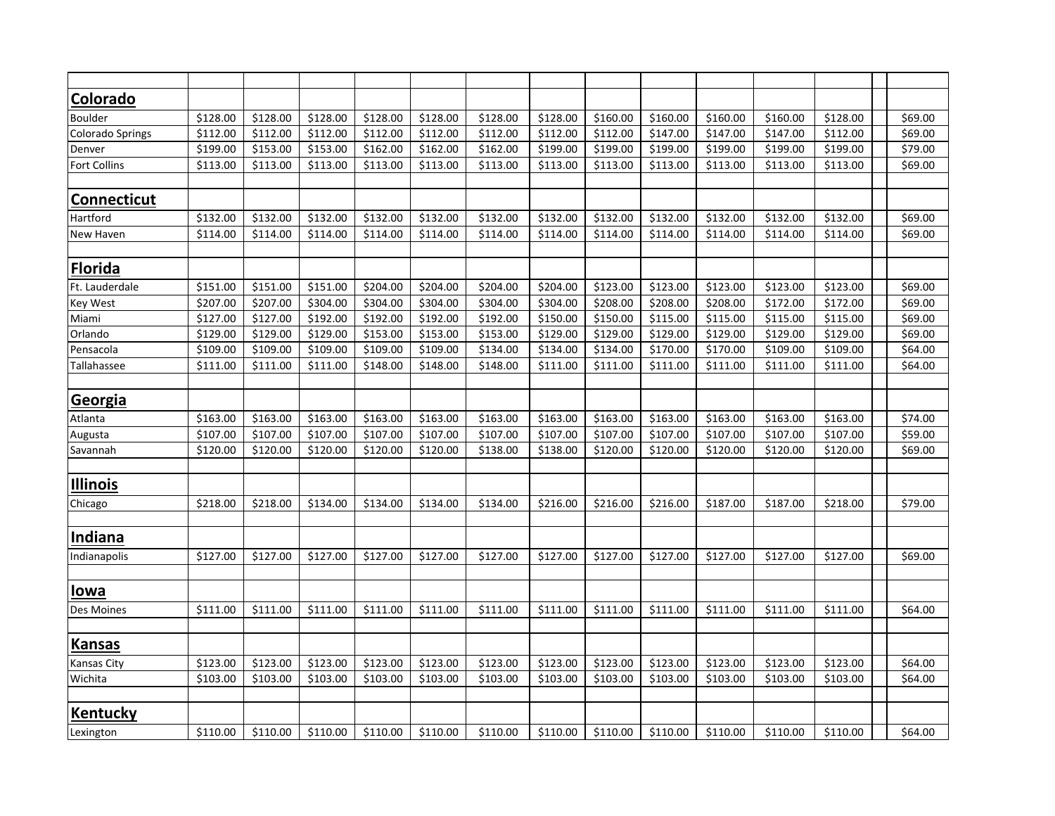| Colorado            |          |          |          |          |          |          |          |          |          |          |          |          |         |
|---------------------|----------|----------|----------|----------|----------|----------|----------|----------|----------|----------|----------|----------|---------|
| Boulder             | \$128.00 | \$128.00 | \$128.00 | \$128.00 | \$128.00 | \$128.00 | \$128.00 | \$160.00 | \$160.00 | \$160.00 | \$160.00 | \$128.00 | \$69.00 |
| Colorado Springs    | \$112.00 | \$112.00 | \$112.00 | \$112.00 | \$112.00 | \$112.00 | \$112.00 | \$112.00 | \$147.00 | \$147.00 | \$147.00 | \$112.00 | \$69.00 |
| Denver              | \$199.00 | \$153.00 | \$153.00 | \$162.00 | \$162.00 | \$162.00 | \$199.00 | \$199.00 | \$199.00 | \$199.00 | \$199.00 | \$199.00 | \$79.00 |
| <b>Fort Collins</b> | \$113.00 | \$113.00 | \$113.00 | \$113.00 | \$113.00 | \$113.00 | \$113.00 | \$113.00 | \$113.00 | \$113.00 | \$113.00 | \$113.00 | \$69.00 |
|                     |          |          |          |          |          |          |          |          |          |          |          |          |         |
| Connecticut         |          |          |          |          |          |          |          |          |          |          |          |          |         |
| Hartford            | \$132.00 | \$132.00 | \$132.00 | \$132.00 | \$132.00 | \$132.00 | \$132.00 | \$132.00 | \$132.00 | \$132.00 | \$132.00 | \$132.00 | \$69.00 |
| New Haven           | \$114.00 | \$114.00 | \$114.00 | \$114.00 | \$114.00 | \$114.00 | \$114.00 | \$114.00 | \$114.00 | \$114.00 | \$114.00 | \$114.00 | \$69.00 |
| <b>Florida</b>      |          |          |          |          |          |          |          |          |          |          |          |          |         |
| Ft. Lauderdale      | \$151.00 | \$151.00 | \$151.00 | \$204.00 | \$204.00 | \$204.00 | \$204.00 | \$123.00 | \$123.00 | \$123.00 | \$123.00 | \$123.00 | \$69.00 |
| <b>Key West</b>     | \$207.00 | \$207.00 | \$304.00 | \$304.00 | \$304.00 | \$304.00 | \$304.00 | \$208.00 | \$208.00 | \$208.00 | \$172.00 | \$172.00 | \$69.00 |
| Miami               | \$127.00 | \$127.00 | \$192.00 | \$192.00 | \$192.00 | \$192.00 | \$150.00 | \$150.00 | \$115.00 | \$115.00 | \$115.00 | \$115.00 | \$69.00 |
| Orlando             | \$129.00 | \$129.00 | \$129.00 | \$153.00 | \$153.00 | \$153.00 | \$129.00 | \$129.00 | \$129.00 | \$129.00 | \$129.00 | \$129.00 | \$69.00 |
| Pensacola           | \$109.00 | \$109.00 | \$109.00 | \$109.00 | \$109.00 | \$134.00 | \$134.00 | \$134.00 | \$170.00 | \$170.00 | \$109.00 | \$109.00 | \$64.00 |
| Tallahassee         | \$111.00 | \$111.00 | \$111.00 | \$148.00 | \$148.00 | \$148.00 | \$111.00 | \$111.00 | \$111.00 | \$111.00 | \$111.00 | \$111.00 | \$64.00 |
|                     |          |          |          |          |          |          |          |          |          |          |          |          |         |
| Georgia             |          |          |          |          |          |          |          |          |          |          |          |          |         |
| Atlanta             | \$163.00 | \$163.00 | \$163.00 | \$163.00 | \$163.00 | \$163.00 | \$163.00 | \$163.00 | \$163.00 | \$163.00 | \$163.00 | \$163.00 | \$74.00 |
| Augusta             | \$107.00 | \$107.00 | \$107.00 | \$107.00 | \$107.00 | \$107.00 | \$107.00 | \$107.00 | \$107.00 | \$107.00 | \$107.00 | \$107.00 | \$59.00 |
| Savannah            | \$120.00 | \$120.00 | \$120.00 | \$120.00 | \$120.00 | \$138.00 | \$138.00 | \$120.00 | \$120.00 | \$120.00 | \$120.00 | \$120.00 | \$69.00 |
| <b>Illinois</b>     |          |          |          |          |          |          |          |          |          |          |          |          |         |
| Chicago             | \$218.00 | \$218.00 | \$134.00 | \$134.00 | \$134.00 | \$134.00 | \$216.00 | \$216.00 | \$216.00 | \$187.00 | \$187.00 | \$218.00 | \$79.00 |
|                     |          |          |          |          |          |          |          |          |          |          |          |          |         |
| <b>Indiana</b>      |          |          |          |          |          |          |          |          |          |          |          |          |         |
| Indianapolis        | \$127.00 | \$127.00 | \$127.00 | \$127.00 | \$127.00 | \$127.00 | \$127.00 | \$127.00 | \$127.00 | \$127.00 | \$127.00 | \$127.00 | \$69.00 |
| <b>lowa</b>         |          |          |          |          |          |          |          |          |          |          |          |          |         |
| Des Moines          | \$111.00 | \$111.00 | \$111.00 | \$111.00 | \$111.00 | \$111.00 | \$111.00 | \$111.00 | \$111.00 | \$111.00 | \$111.00 | \$111.00 | \$64.00 |
|                     |          |          |          |          |          |          |          |          |          |          |          |          |         |
| <b>Kansas</b>       |          |          |          |          |          |          |          |          |          |          |          |          |         |
| <b>Kansas City</b>  | \$123.00 | \$123.00 | \$123.00 | \$123.00 | \$123.00 | \$123.00 | \$123.00 | \$123.00 | \$123.00 | \$123.00 | \$123.00 | \$123.00 | \$64.00 |
| Wichita             | \$103.00 | \$103.00 | \$103.00 | \$103.00 | \$103.00 | \$103.00 | \$103.00 | \$103.00 | \$103.00 | \$103.00 | \$103.00 | \$103.00 | \$64.00 |
|                     |          |          |          |          |          |          |          |          |          |          |          |          |         |
| <b>Kentucky</b>     |          |          |          |          |          |          |          |          |          |          |          |          |         |
| Lexington           | \$110.00 | \$110.00 | \$110.00 | \$110.00 | \$110.00 | \$110.00 | \$110.00 | \$110.00 | \$110.00 | \$110.00 | \$110.00 | \$110.00 | \$64.00 |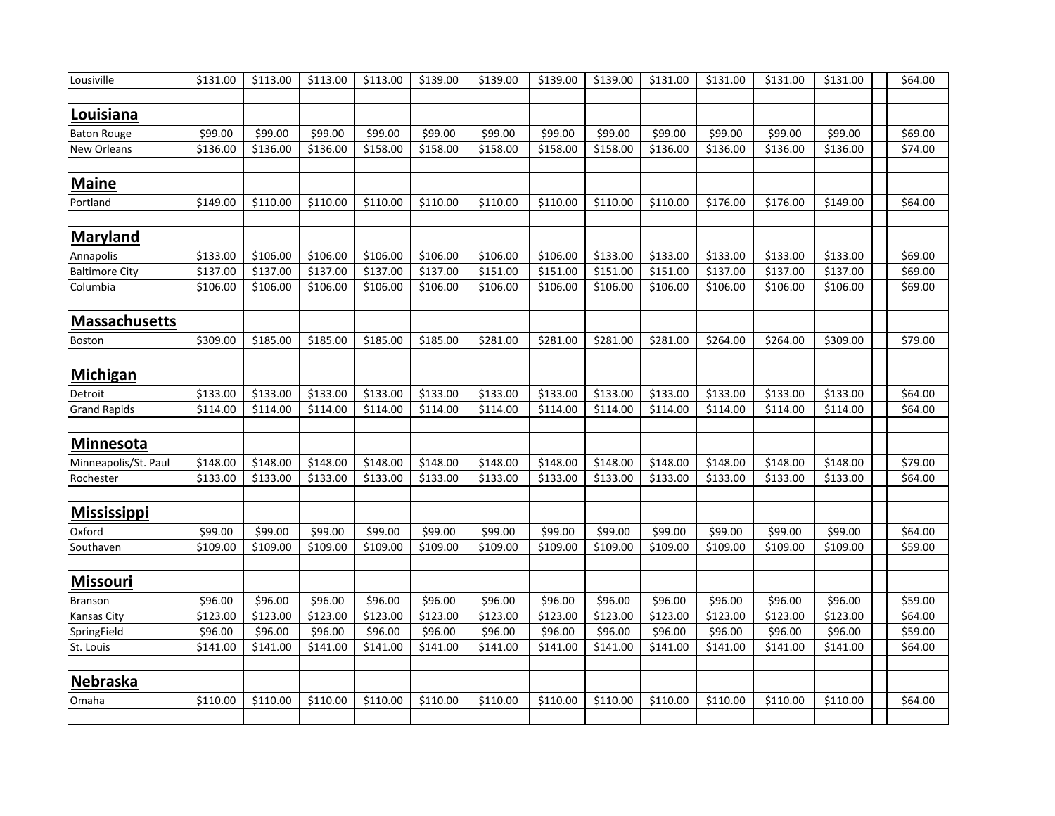| Lousiville            | \$131.00 | \$113.00 | \$113.00 | \$113.00 | \$139.00 | \$139.00 | \$139.00 | \$139.00 | \$131.00 | \$131.00 | \$131.00 | \$131.00 | \$64.00 |
|-----------------------|----------|----------|----------|----------|----------|----------|----------|----------|----------|----------|----------|----------|---------|
|                       |          |          |          |          |          |          |          |          |          |          |          |          |         |
| <b>Louisiana</b>      |          |          |          |          |          |          |          |          |          |          |          |          |         |
| <b>Baton Rouge</b>    | \$99.00  | \$99.00  | \$99.00  | \$99.00  | \$99.00  | \$99.00  | \$99.00  | \$99.00  | \$99.00  | \$99.00  | \$99.00  | \$99.00  | \$69.00 |
| New Orleans           | \$136.00 | \$136.00 | \$136.00 | \$158.00 | \$158.00 | \$158.00 | \$158.00 | \$158.00 | \$136.00 | \$136.00 | \$136.00 | \$136.00 | \$74.00 |
|                       |          |          |          |          |          |          |          |          |          |          |          |          |         |
| <b>Maine</b>          |          |          |          |          |          |          |          |          |          |          |          |          |         |
| Portland              | \$149.00 | \$110.00 | \$110.00 | \$110.00 | \$110.00 | \$110.00 | \$110.00 | \$110.00 | \$110.00 | \$176.00 | \$176.00 | \$149.00 | \$64.00 |
|                       |          |          |          |          |          |          |          |          |          |          |          |          |         |
| <b>Maryland</b>       |          |          |          |          |          |          |          |          |          |          |          |          |         |
| Annapolis             | \$133.00 | \$106.00 | \$106.00 | \$106.00 | \$106.00 | \$106.00 | \$106.00 | \$133.00 | \$133.00 | \$133.00 | \$133.00 | \$133.00 | \$69.00 |
| <b>Baltimore City</b> | \$137.00 | \$137.00 | \$137.00 | \$137.00 | \$137.00 | \$151.00 | \$151.00 | \$151.00 | \$151.00 | \$137.00 | \$137.00 | \$137.00 | \$69.00 |
| Columbia              | \$106.00 | \$106.00 | \$106.00 | \$106.00 | \$106.00 | \$106.00 | \$106.00 | \$106.00 | \$106.00 | \$106.00 | \$106.00 | \$106.00 | \$69.00 |
|                       |          |          |          |          |          |          |          |          |          |          |          |          |         |
| <b>Massachusetts</b>  |          |          |          |          |          |          |          |          |          |          |          |          |         |
| Boston                | \$309.00 | \$185.00 | \$185.00 | \$185.00 | \$185.00 | \$281.00 | \$281.00 | \$281.00 | \$281.00 | \$264.00 | \$264.00 | \$309.00 | \$79.00 |
|                       |          |          |          |          |          |          |          |          |          |          |          |          |         |
| <b>Michigan</b>       |          |          |          |          |          |          |          |          |          |          |          |          |         |
| Detroit               | \$133.00 | \$133.00 | \$133.00 | \$133.00 | \$133.00 | \$133.00 | \$133.00 | \$133.00 | \$133.00 | \$133.00 | \$133.00 | \$133.00 | \$64.00 |
| <b>Grand Rapids</b>   | \$114.00 | \$114.00 | \$114.00 | \$114.00 | \$114.00 | \$114.00 | \$114.00 | \$114.00 | \$114.00 | \$114.00 | \$114.00 | \$114.00 | \$64.00 |
|                       |          |          |          |          |          |          |          |          |          |          |          |          |         |
| <b>Minnesota</b>      |          |          |          |          |          |          |          |          |          |          |          |          |         |
| Minneapolis/St. Paul  | \$148.00 | \$148.00 | \$148.00 | \$148.00 | \$148.00 | \$148.00 | \$148.00 | \$148.00 | \$148.00 | \$148.00 | \$148.00 | \$148.00 | \$79.00 |
| Rochester             | \$133.00 | \$133.00 | \$133.00 | \$133.00 | \$133.00 | \$133.00 | \$133.00 | \$133.00 | \$133.00 | \$133.00 | \$133.00 | \$133.00 | \$64.00 |
|                       |          |          |          |          |          |          |          |          |          |          |          |          |         |
| <u>Mississippi</u>    |          |          |          |          |          |          |          |          |          |          |          |          |         |
| Oxford                | \$99.00  | \$99.00  | \$99.00  | \$99.00  | \$99.00  | \$99.00  | \$99.00  | \$99.00  | \$99.00  | \$99.00  | \$99.00  | \$99.00  | \$64.00 |
| Southaven             | \$109.00 | \$109.00 | \$109.00 | \$109.00 | \$109.00 | \$109.00 | \$109.00 | \$109.00 | \$109.00 | \$109.00 | \$109.00 | \$109.00 | \$59.00 |
|                       |          |          |          |          |          |          |          |          |          |          |          |          |         |
| <b>Missouri</b>       |          |          |          |          |          |          |          |          |          |          |          |          |         |
| <b>Branson</b>        | \$96.00  | \$96.00  | \$96.00  | \$96.00  | \$96.00  | \$96.00  | \$96.00  | \$96.00  | \$96.00  | \$96.00  | \$96.00  | \$96.00  | \$59.00 |
| <b>Kansas City</b>    | \$123.00 | \$123.00 | \$123.00 | \$123.00 | \$123.00 | \$123.00 | \$123.00 | \$123.00 | \$123.00 | \$123.00 | \$123.00 | \$123.00 | \$64.00 |
| SpringField           | \$96.00  | \$96.00  | \$96.00  | \$96.00  | \$96.00  | \$96.00  | \$96.00  | \$96.00  | \$96.00  | \$96.00  | \$96.00  | \$96.00  | \$59.00 |
| St. Louis             | \$141.00 | \$141.00 | \$141.00 | \$141.00 | \$141.00 | \$141.00 | \$141.00 | \$141.00 | \$141.00 | \$141.00 | \$141.00 | \$141.00 | \$64.00 |
|                       |          |          |          |          |          |          |          |          |          |          |          |          |         |
| <b>Nebraska</b>       |          |          |          |          |          |          |          |          |          |          |          |          |         |
| Omaha                 | \$110.00 | \$110.00 | \$110.00 | \$110.00 | \$110.00 | \$110.00 | \$110.00 | \$110.00 | \$110.00 | \$110.00 | \$110.00 | \$110.00 | \$64.00 |
|                       |          |          |          |          |          |          |          |          |          |          |          |          |         |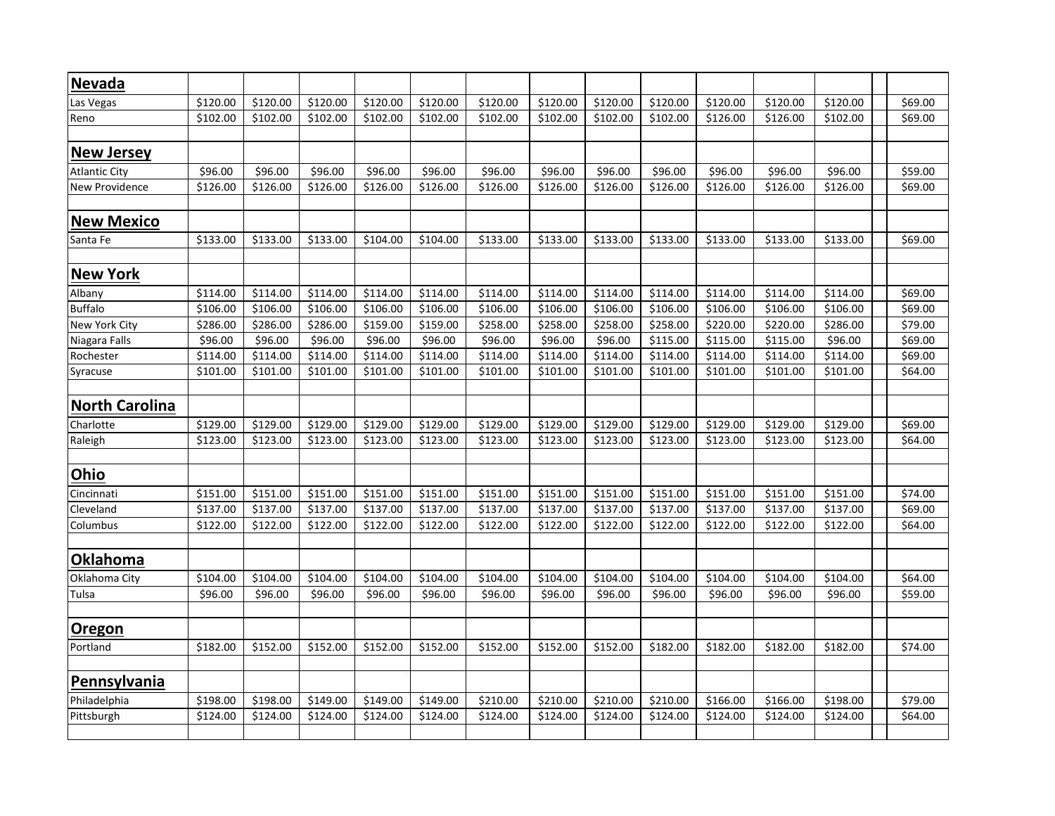| <b>Nevada</b>         |          |          |          |          |          |          |          |          |          |          |          |          |         |
|-----------------------|----------|----------|----------|----------|----------|----------|----------|----------|----------|----------|----------|----------|---------|
| Las Vegas             | \$120.00 | \$120.00 | \$120.00 | \$120.00 | \$120.00 | \$120.00 | \$120.00 | \$120.00 | \$120.00 | \$120.00 | \$120.00 | \$120.00 | \$69.00 |
| Reno                  | \$102.00 | \$102.00 | \$102.00 | \$102.00 | \$102.00 | \$102.00 | \$102.00 | \$102.00 | \$102.00 | \$126.00 | \$126.00 | \$102.00 | \$69.00 |
|                       |          |          |          |          |          |          |          |          |          |          |          |          |         |
| <b>New Jersey</b>     |          |          |          |          |          |          |          |          |          |          |          |          |         |
| <b>Atlantic City</b>  | \$96.00  | \$96.00  | \$96.00  | \$96.00  | \$96.00  | \$96.00  | \$96.00  | \$96.00  | \$96.00  | \$96.00  | \$96.00  | \$96.00  | \$59.00 |
| New Providence        | \$126.00 | \$126.00 | \$126.00 | \$126.00 | \$126.00 | \$126.00 | \$126.00 | \$126.00 | \$126.00 | \$126.00 | \$126.00 | \$126.00 | \$69.00 |
| <b>New Mexico</b>     |          |          |          |          |          |          |          |          |          |          |          |          |         |
|                       |          |          |          |          |          |          |          |          |          |          |          |          |         |
| Santa Fe              | \$133.00 | \$133.00 | \$133.00 | \$104.00 | \$104.00 | \$133.00 | \$133.00 | \$133.00 | \$133.00 | \$133.00 | \$133.00 | \$133.00 | \$69.00 |
| <b>New York</b>       |          |          |          |          |          |          |          |          |          |          |          |          |         |
| Albany                | \$114.00 | \$114.00 | \$114.00 | \$114.00 | \$114.00 | \$114.00 | \$114.00 | \$114.00 | \$114.00 | \$114.00 | \$114.00 | \$114.00 | \$69.00 |
| <b>Buffalo</b>        | \$106.00 | \$106.00 | \$106.00 | \$106.00 | \$106.00 | \$106.00 | \$106.00 | \$106.00 | \$106.00 | \$106.00 | \$106.00 | \$106.00 | \$69.00 |
| New York City         | \$286.00 | \$286.00 | \$286.00 | \$159.00 | \$159.00 | \$258.00 | \$258.00 | \$258.00 | \$258.00 | \$220.00 | \$220.00 | \$286.00 | \$79.00 |
| Niagara Falls         | \$96.00  | \$96.00  | \$96.00  | \$96.00  | \$96.00  | \$96.00  | \$96.00  | \$96.00  | \$115.00 | \$115.00 | \$115.00 | \$96.00  | \$69.00 |
| Rochester             | \$114.00 | \$114.00 | \$114.00 | \$114.00 | \$114.00 | \$114.00 | \$114.00 | \$114.00 | \$114.00 | \$114.00 | \$114.00 | \$114.00 | \$69.00 |
| Syracuse              | \$101.00 | \$101.00 | \$101.00 | \$101.00 | \$101.00 | \$101.00 | \$101.00 | \$101.00 | \$101.00 | \$101.00 | \$101.00 | \$101.00 | \$64.00 |
|                       |          |          |          |          |          |          |          |          |          |          |          |          |         |
| <b>North Carolina</b> |          |          |          |          |          |          |          |          |          |          |          |          |         |
| Charlotte             | \$129.00 | \$129.00 | \$129.00 | \$129.00 | \$129.00 | \$129.00 | \$129.00 | \$129.00 | \$129.00 | \$129.00 | \$129.00 | \$129.00 | \$69.00 |
| Raleigh               | \$123.00 | \$123.00 | \$123.00 | \$123.00 | \$123.00 | \$123.00 | \$123.00 | \$123.00 | \$123.00 | \$123.00 | \$123.00 | \$123.00 | \$64.00 |
|                       |          |          |          |          |          |          |          |          |          |          |          |          |         |
| Ohio                  |          |          |          |          |          |          |          |          |          |          |          |          |         |
| Cincinnati            | \$151.00 | \$151.00 | \$151.00 | \$151.00 | \$151.00 | \$151.00 | \$151.00 | \$151.00 | \$151.00 | \$151.00 | \$151.00 | \$151.00 | \$74.00 |
| Cleveland             | \$137.00 | \$137.00 | \$137.00 | \$137.00 | \$137.00 | \$137.00 | \$137.00 | \$137.00 | \$137.00 | \$137.00 | \$137.00 | \$137.00 | \$69.00 |
| Columbus              | \$122.00 | \$122.00 | \$122.00 | \$122.00 | \$122.00 | \$122.00 | \$122.00 | \$122.00 | \$122.00 | \$122.00 | \$122.00 | \$122.00 | \$64.00 |
| Oklahoma              |          |          |          |          |          |          |          |          |          |          |          |          |         |
| Oklahoma City         | \$104.00 | \$104.00 | \$104.00 | \$104.00 | \$104.00 | \$104.00 | \$104.00 | \$104.00 | \$104.00 | \$104.00 | \$104.00 | \$104.00 | \$64.00 |
| Tulsa                 | \$96.00  | \$96.00  | \$96.00  | \$96.00  | \$96.00  | \$96.00  | \$96.00  | \$96.00  | \$96.00  | \$96.00  | \$96.00  | \$96.00  | \$59.00 |
|                       |          |          |          |          |          |          |          |          |          |          |          |          |         |
| <b>Oregon</b>         |          |          |          |          |          |          |          |          |          |          |          |          |         |
| Portland              | \$182.00 | \$152.00 | \$152.00 | \$152.00 | \$152.00 | \$152.00 | \$152.00 | \$152.00 | \$182.00 | \$182.00 | \$182.00 | \$182.00 | \$74.00 |
| Pennsylvania          |          |          |          |          |          |          |          |          |          |          |          |          |         |
| Philadelphia          | \$198.00 | \$198.00 | \$149.00 | \$149.00 | \$149.00 | \$210.00 | \$210.00 | \$210.00 | \$210.00 | \$166.00 | \$166.00 | \$198.00 | \$79.00 |
| Pittsburgh            | \$124.00 | \$124.00 | \$124.00 | \$124.00 | \$124.00 | \$124.00 | \$124.00 | \$124.00 | \$124.00 | \$124.00 | \$124.00 | \$124.00 | \$64.00 |
|                       |          |          |          |          |          |          |          |          |          |          |          |          |         |